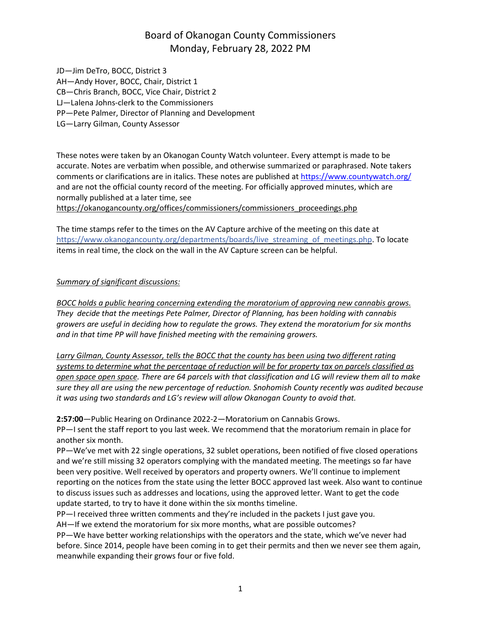JD—Jim DeTro, BOCC, District 3 AH—Andy Hover, BOCC, Chair, District 1 CB—Chris Branch, BOCC, Vice Chair, District 2 LJ—Lalena Johns-clerk to the Commissioners PP—Pete Palmer, Director of Planning and Development LG—Larry Gilman, County Assessor

These notes were taken by an Okanogan County Watch volunteer. Every attempt is made to be accurate. Notes are verbatim when possible, and otherwise summarized or paraphrased. Note takers comments or clarifications are in italics. These notes are published at <https://www.countywatch.org/> and are not the official county record of the meeting. For officially approved minutes, which are normally published at a later time, see

[https://okanogancounty.org/offices/commissioners/commissioners\\_proceedings.php](https://okanogancounty.org/offices/commissioners/commissioners_proceedings.php)

The time stamps refer to the times on the AV Capture archive of the meeting on this date at https://www.okanogancounty.org/departments/boards/live streaming of meetings.php. To locate items in real time, the clock on the wall in the AV Capture screen can be helpful.

#### *Summary of significant discussions:*

*BOCC holds a public hearing concerning extending the moratorium of approving new cannabis grows. They decide that the meetings Pete Palmer, Director of Planning, has been holding with cannabis growers are useful in deciding how to regulate the grows. They extend the moratorium for six months and in that time PP will have finished meeting with the remaining growers.*

*Larry Gilman, County Assessor, tells the BOCC that the county has been using two different rating systems to determine what the percentage of reduction will be for property tax on parcels classified as* open space open space. There are 64 parcels with that classification and LG will review them all to make *sure they all are using the new percentage of reduction. Snohomish County recently was audited because it was using two standards and LG's review will allow Okanogan County to avoid that.*

**2:57:00**—Public Hearing on Ordinance 2022-2—Moratorium on Cannabis Grows.

PP—I sent the staff report to you last week. We recommend that the moratorium remain in place for another six month.

PP—We've met with 22 single operations, 32 sublet operations, been notified of five closed operations and we're still missing 32 operators complying with the mandated meeting. The meetings so far have been very positive. Well received by operators and property owners. We'll continue to implement reporting on the notices from the state using the letter BOCC approved last week. Also want to continue to discuss issues such as addresses and locations, using the approved letter. Want to get the code update started, to try to have it done within the six months timeline.

PP—I received three written comments and they're included in the packets I just gave you.

AH—If we extend the moratorium for six more months, what are possible outcomes?

PP—We have better working relationships with the operators and the state, which we've never had before. Since 2014, people have been coming in to get their permits and then we never see them again, meanwhile expanding their grows four or five fold.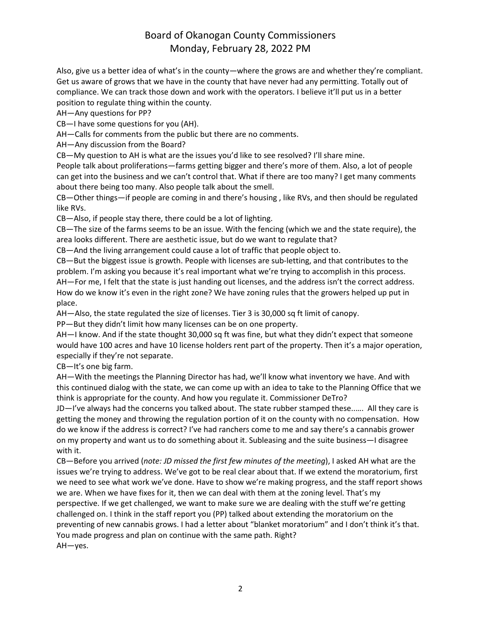Also, give us a better idea of what's in the county—where the grows are and whether they're compliant. Get us aware of grows that we have in the county that have never had any permitting. Totally out of compliance. We can track those down and work with the operators. I believe it'll put us in a better position to regulate thing within the county.

AH—Any questions for PP?

CB—I have some questions for you (AH).

AH—Calls for comments from the public but there are no comments.

AH—Any discussion from the Board?

CB—My question to AH is what are the issues you'd like to see resolved? I'll share mine.

People talk about proliferations—farms getting bigger and there's more of them. Also, a lot of people can get into the business and we can't control that. What if there are too many? I get many comments about there being too many. Also people talk about the smell.

CB—Other things—if people are coming in and there's housing , like RVs, and then should be regulated like RVs.

CB—Also, if people stay there, there could be a lot of lighting.

CB—The size of the farms seems to be an issue. With the fencing (which we and the state require), the area looks different. There are aesthetic issue, but do we want to regulate that?

CB—And the living arrangement could cause a lot of traffic that people object to.

CB—But the biggest issue is growth. People with licenses are sub-letting, and that contributes to the problem. I'm asking you because it's real important what we're trying to accomplish in this process. AH—For me, I felt that the state is just handing out licenses, and the address isn't the correct address. How do we know it's even in the right zone? We have zoning rules that the growers helped up put in place.

AH—Also, the state regulated the size of licenses. Tier 3 is 30,000 sq ft limit of canopy.

PP—But they didn't limit how many licenses can be on one property.

AH—I know. And if the state thought 30,000 sq ft was fine, but what they didn't expect that someone would have 100 acres and have 10 license holders rent part of the property. Then it's a major operation, especially if they're not separate.

CB—It's one big farm.

AH—With the meetings the Planning Director has had, we'll know what inventory we have. And with this continued dialog with the state, we can come up with an idea to take to the Planning Office that we think is appropriate for the county. And how you regulate it. Commissioner DeTro?

JD—I've always had the concerns you talked about. The state rubber stamped these..…. All they care is getting the money and throwing the regulation portion of it on the county with no compensation. How do we know if the address is correct? I've had ranchers come to me and say there's a cannabis grower on my property and want us to do something about it. Subleasing and the suite business—I disagree with it.

CB—Before you arrived (*note: JD missed the first few minutes of the meeting*), I asked AH what are the issues we're trying to address. We've got to be real clear about that. If we extend the moratorium, first we need to see what work we've done. Have to show we're making progress, and the staff report shows we are. When we have fixes for it, then we can deal with them at the zoning level. That's my perspective. If we get challenged, we want to make sure we are dealing with the stuff we're getting challenged on. I think in the staff report you (PP) talked about extending the moratorium on the preventing of new cannabis grows. I had a letter about "blanket moratorium" and I don't think it's that. You made progress and plan on continue with the same path. Right? AH—yes.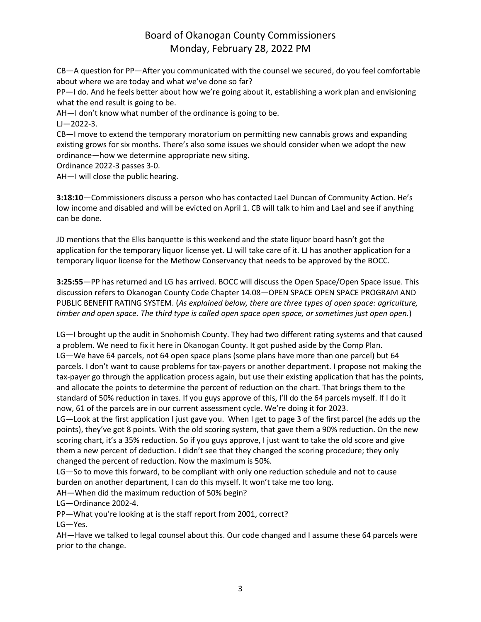CB—A question for PP—After you communicated with the counsel we secured, do you feel comfortable about where we are today and what we've done so far?

PP—I do. And he feels better about how we're going about it, establishing a work plan and envisioning what the end result is going to be.

AH—I don't know what number of the ordinance is going to be.

 $LJ - 2022 - 3$ .

CB—I move to extend the temporary moratorium on permitting new cannabis grows and expanding existing grows for six months. There's also some issues we should consider when we adopt the new ordinance—how we determine appropriate new siting.

Ordinance 2022-3 passes 3-0.

AH—I will close the public hearing.

**3:18:10**—Commissioners discuss a person who has contacted Lael Duncan of Community Action. He's low income and disabled and will be evicted on April 1. CB will talk to him and Lael and see if anything can be done.

JD mentions that the Elks banquette is this weekend and the state liquor board hasn't got the application for the temporary liquor license yet. LJ will take care of it. LJ has another application for a temporary liquor license for the Methow Conservancy that needs to be approved by the BOCC.

**3:25:55**—PP has returned and LG has arrived. BOCC will discuss the Open Space/Open Space issue. This discussion refers to Okanogan County Code Chapter 14.08—OPEN SPACE OPEN SPACE PROGRAM AND PUBLIC BENEFIT RATING SYSTEM. (*As explained below, there are three types of open space: agriculture,* timber and open space. The third type is called open space open space, or sometimes just open open.)

LG—I brought up the audit in Snohomish County. They had two different rating systems and that caused a problem. We need to fix it here in Okanogan County. It got pushed aside by the Comp Plan. LG—We have 64 parcels, not 64 open space plans (some plans have more than one parcel) but 64 parcels. I don't want to cause problems for tax-payers or another department. I propose not making the tax-payer go through the application process again, but use their existing application that has the points, and allocate the points to determine the percent of reduction on the chart. That brings them to the standard of 50% reduction in taxes. If you guys approve of this, I'll do the 64 parcels myself. If I do it now, 61 of the parcels are in our current assessment cycle. We're doing it for 2023.

LG—Look at the first application I just gave you. When I get to page 3 of the first parcel (he adds up the points), they've got 8 points. With the old scoring system, that gave them a 90% reduction. On the new scoring chart, it's a 35% reduction. So if you guys approve, I just want to take the old score and give them a new percent of deduction. I didn't see that they changed the scoring procedure; they only changed the percent of reduction. Now the maximum is 50%.

LG—So to move this forward, to be compliant with only one reduction schedule and not to cause burden on another department, I can do this myself. It won't take me too long.

AH—When did the maximum reduction of 50% begin?

LG—Ordinance 2002-4.

PP—What you're looking at is the staff report from 2001, correct?

LG—Yes.

AH—Have we talked to legal counsel about this. Our code changed and I assume these 64 parcels were prior to the change.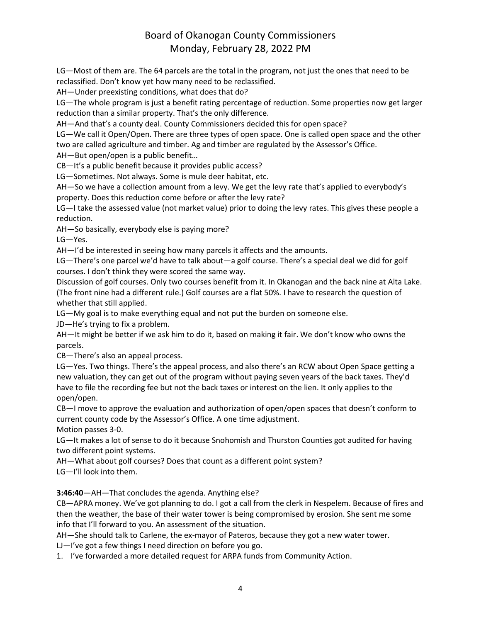LG—Most of them are. The 64 parcels are the total in the program, not just the ones that need to be reclassified. Don't know yet how many need to be reclassified.

AH—Under preexisting conditions, what does that do?

LG—The whole program is just a benefit rating percentage of reduction. Some properties now get larger reduction than a similar property. That's the only difference.

AH—And that's a county deal. County Commissioners decided this for open space?

LG—We call it Open/Open. There are three types of open space. One is called open space and the other two are called agriculture and timber. Ag and timber are regulated by the Assessor's Office.

AH—But open/open is a public benefit…

CB—It's a public benefit because it provides public access?

LG—Sometimes. Not always. Some is mule deer habitat, etc.

AH—So we have a collection amount from a levy. We get the levy rate that's applied to everybody's property. Does this reduction come before or after the levy rate?

LG—I take the assessed value (not market value) prior to doing the levy rates. This gives these people a reduction.

AH—So basically, everybody else is paying more?

LG—Yes.

AH—I'd be interested in seeing how many parcels it affects and the amounts.

LG—There's one parcel we'd have to talk about—a golf course. There's a special deal we did for golf courses. I don't think they were scored the same way.

Discussion of golf courses. Only two courses benefit from it. In Okanogan and the back nine at Alta Lake. (The front nine had a different rule.) Golf courses are a flat 50%. I have to research the question of whether that still applied.

LG—My goal is to make everything equal and not put the burden on someone else.

JD—He's trying to fix a problem.

AH—It might be better if we ask him to do it, based on making it fair. We don't know who owns the parcels.

CB—There's also an appeal process.

LG—Yes. Two things. There's the appeal process, and also there's an RCW about Open Space getting a new valuation, they can get out of the program without paying seven years of the back taxes. They'd have to file the recording fee but not the back taxes or interest on the lien. It only applies to the open/open.

CB—I move to approve the evaluation and authorization of open/open spaces that doesn't conform to current county code by the Assessor's Office. A one time adjustment.

Motion passes 3-0.

LG—It makes a lot of sense to do it because Snohomish and Thurston Counties got audited for having two different point systems.

AH—What about golf courses? Does that count as a different point system?

LG—I'll look into them.

**3:46:40**—AH—That concludes the agenda. Anything else?

CB—APRA money. We've got planning to do. I got a call from the clerk in Nespelem. Because of fires and then the weather, the base of their water tower is being compromised by erosion. She sent me some info that I'll forward to you. An assessment of the situation.

AH—She should talk to Carlene, the ex-mayor of Pateros, because they got a new water tower.

LJ—I've got a few things I need direction on before you go.

1. I've forwarded a more detailed request for ARPA funds from Community Action.